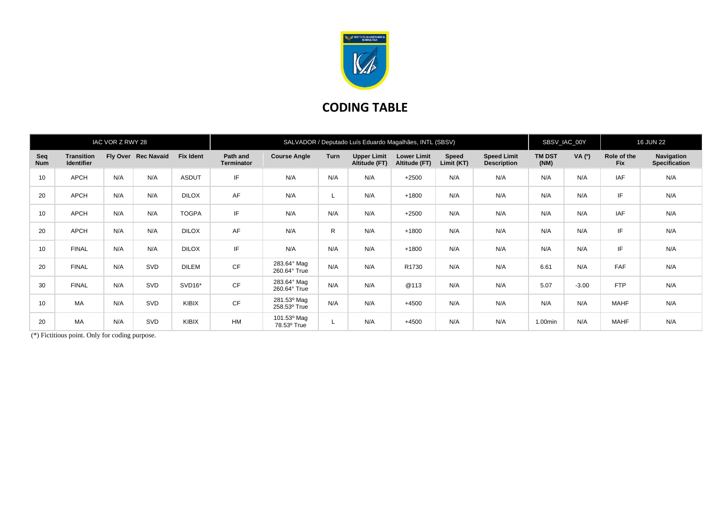

## **CODING TABLE**

| IAC VOR Z RWY 28  |                                        |     | SALVADOR / Deputado Luís Eduardo Magalhães, INTL (SBSV) |                  |                               |                             |      |                                     |                                     |                            | SBSV_IAC_00Y                             |                       | <b>16 JUN 22</b> |                           |                                    |
|-------------------|----------------------------------------|-----|---------------------------------------------------------|------------------|-------------------------------|-----------------------------|------|-------------------------------------|-------------------------------------|----------------------------|------------------------------------------|-----------------------|------------------|---------------------------|------------------------------------|
| Seq<br><b>Num</b> | <b>Transition</b><br><b>Identifier</b> |     | Fly Over Rec Navaid                                     | <b>Fix Ident</b> | Path and<br><b>Terminator</b> | <b>Course Angle</b>         | Turn | <b>Upper Limit</b><br>Altitude (FT) | <b>Lower Limit</b><br>Altitude (FT) | <b>Speed</b><br>Limit (KT) | <b>Speed Limit</b><br><b>Description</b> | <b>TM DST</b><br>(NM) | VA (0)           | Role of the<br><b>Fix</b> | Navigation<br><b>Specification</b> |
| 10                | APCH                                   | N/A | N/A                                                     | <b>ASDUT</b>     | IF                            | N/A                         | N/A  | N/A                                 | $+2500$                             | N/A                        | N/A                                      | N/A                   | N/A              | <b>IAF</b>                | N/A                                |
| 20                | APCH                                   | N/A | N/A                                                     | <b>DILOX</b>     | AF                            | N/A                         | ∟    | N/A                                 | $+1800$                             | N/A                        | N/A                                      | N/A                   | N/A              | IF                        | N/A                                |
| 10                | APCH                                   | N/A | N/A                                                     | <b>TOGPA</b>     | IF                            | N/A                         | N/A  | N/A                                 | $+2500$                             | N/A                        | N/A                                      | N/A                   | N/A              | <b>IAF</b>                | N/A                                |
| 20                | APCH                                   | N/A | N/A                                                     | <b>DILOX</b>     | AF                            | N/A                         | R.   | N/A                                 | $+1800$                             | N/A                        | N/A                                      | N/A                   | N/A              | IF                        | N/A                                |
| 10                | <b>FINAL</b>                           | N/A | N/A                                                     | <b>DILOX</b>     | IF                            | N/A                         | N/A  | N/A                                 | $+1800$                             | N/A                        | N/A                                      | N/A                   | N/A              | IF                        | N/A                                |
| 20                | <b>FINAL</b>                           | N/A | SVD                                                     | <b>DILEM</b>     | CF                            | 283.64° Mag<br>260.64° True | N/A  | N/A                                 | R1730                               | N/A                        | N/A                                      | 6.61                  | N/A              | FAF                       | N/A                                |
| 30                | <b>FINAL</b>                           | N/A | SVD                                                     | SVD16*           | CF                            | 283.64° Mag<br>260.64° True | N/A  | N/A                                 | @113                                | N/A                        | N/A                                      | 5.07                  | $-3.00$          | <b>FTP</b>                | N/A                                |
| 10                | <b>MA</b>                              | N/A | SVD                                                     | KIBIX            | CF                            | 281.53° Mag<br>258.53° True | N/A  | N/A                                 | $+4500$                             | N/A                        | N/A                                      | N/A                   | N/A              | <b>MAHF</b>               | N/A                                |
| 20                | <b>MA</b>                              | N/A | SVD                                                     | KIBIX            | <b>HM</b>                     | 101.53° Mag<br>78.53° True  |      | N/A                                 | $+4500$                             | N/A                        | N/A                                      | 1.00min               | N/A              | <b>MAHF</b>               | N/A                                |

(\*) Fictitious point. Only for coding purpose.